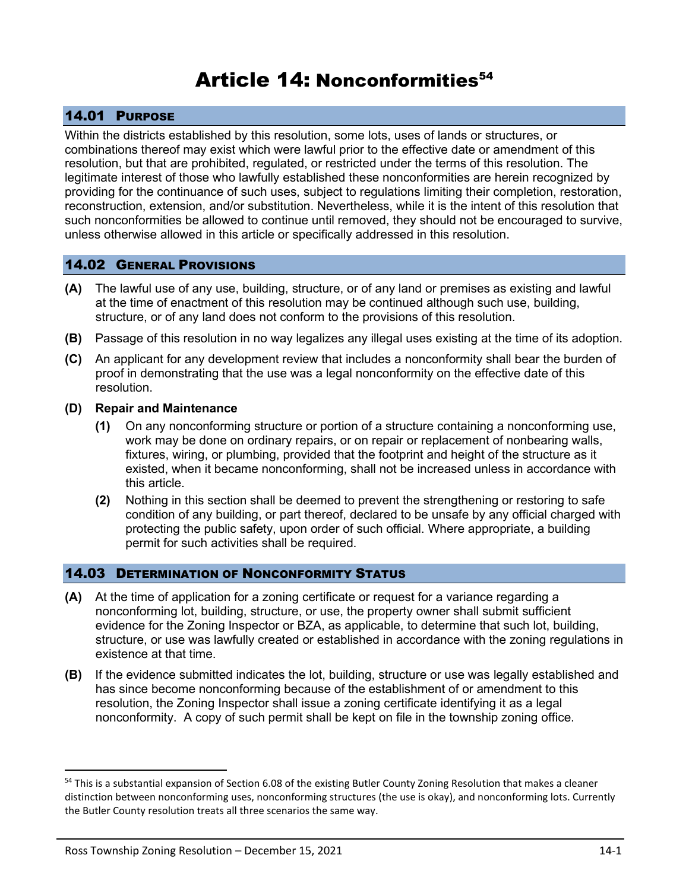# Article 14: Nonconformities<sup>54</sup>

# 14.01 PURPOSE

Within the districts established by this resolution, some lots, uses of lands or structures, or combinations thereof may exist which were lawful prior to the effective date or amendment of this resolution, but that are prohibited, regulated, or restricted under the terms of this resolution. The legitimate interest of those who lawfully established these nonconformities are herein recognized by providing for the continuance of such uses, subject to regulations limiting their completion, restoration, reconstruction, extension, and/or substitution. Nevertheless, while it is the intent of this resolution that such nonconformities be allowed to continue until removed, they should not be encouraged to survive, unless otherwise allowed in this article or specifically addressed in this resolution.

## 14.02 GENERAL PROVISIONS

- **(A)** The lawful use of any use, building, structure, or of any land or premises as existing and lawful at the time of enactment of this resolution may be continued although such use, building, structure, or of any land does not conform to the provisions of this resolution.
- **(B)** Passage of this resolution in no way legalizes any illegal uses existing at the time of its adoption.
- **(C)** An applicant for any development review that includes a nonconformity shall bear the burden of proof in demonstrating that the use was a legal nonconformity on the effective date of this resolution.

#### **(D) Repair and Maintenance**

- **(1)** On any nonconforming structure or portion of a structure containing a nonconforming use, work may be done on ordinary repairs, or on repair or replacement of nonbearing walls, fixtures, wiring, or plumbing, provided that the footprint and height of the structure as it existed, when it became nonconforming, shall not be increased unless in accordance with this article.
- **(2)** Nothing in this section shall be deemed to prevent the strengthening or restoring to safe condition of any building, or part thereof, declared to be unsafe by any official charged with protecting the public safety, upon order of such official. Where appropriate, a building permit for such activities shall be required.

## 14.03 DETERMINATION OF NONCONFORMITY STATUS

- **(A)** At the time of application for a zoning certificate or request for a variance regarding a nonconforming lot, building, structure, or use, the property owner shall submit sufficient evidence for the Zoning Inspector or BZA, as applicable, to determine that such lot, building, structure, or use was lawfully created or established in accordance with the zoning regulations in existence at that time.
- **(B)** If the evidence submitted indicates the lot, building, structure or use was legally established and has since become nonconforming because of the establishment of or amendment to this resolution, the Zoning Inspector shall issue a zoning certificate identifying it as a legal nonconformity. A copy of such permit shall be kept on file in the township zoning office.

<sup>&</sup>lt;sup>54</sup> This is a substantial expansion of Section 6.08 of the existing Butler County Zoning Resolution that makes a cleaner distinction between nonconforming uses, nonconforming structures (the use is okay), and nonconforming lots. Currently the Butler County resolution treats all three scenarios the same way.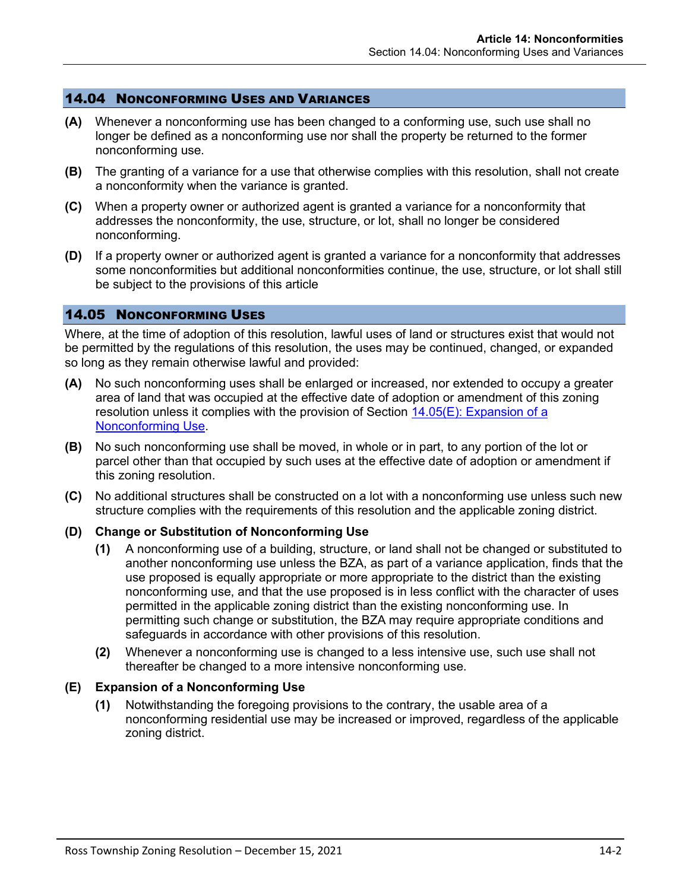## 14.04 NONCONFORMING USES AND VARIANCES

- **(A)** Whenever a nonconforming use has been changed to a conforming use, such use shall no longer be defined as a nonconforming use nor shall the property be returned to the former nonconforming use.
- **(B)** The granting of a variance for a use that otherwise complies with this resolution, shall not create a nonconformity when the variance is granted.
- **(C)** When a property owner or authorized agent is granted a variance for a nonconformity that addresses the nonconformity, the use, structure, or lot, shall no longer be considered nonconforming.
- **(D)** If a property owner or authorized agent is granted a variance for a nonconformity that addresses some nonconformities but additional nonconformities continue, the use, structure, or lot shall still be subject to the provisions of this article

#### 14.05 NONCONFORMING USES

Where, at the time of adoption of this resolution, lawful uses of land or structures exist that would not be permitted by the regulations of this resolution, the uses may be continued, changed, or expanded so long as they remain otherwise lawful and provided:

- **(A)** No such nonconforming uses shall be enlarged or increased, nor extended to occupy a greater area of land that was occupied at the effective date of adoption or amendment of this zoning resolution unless it complies with the provision of Section [14.05\(E\): Expansion of a](#page-1-0)  [Nonconforming Use.](#page-1-0)
- **(B)** No such nonconforming use shall be moved, in whole or in part, to any portion of the lot or parcel other than that occupied by such uses at the effective date of adoption or amendment if this zoning resolution.
- **(C)** No additional structures shall be constructed on a lot with a nonconforming use unless such new structure complies with the requirements of this resolution and the applicable zoning district.

## **(D) Change or Substitution of Nonconforming Use**

- **(1)** A nonconforming use of a building, structure, or land shall not be changed or substituted to another nonconforming use unless the BZA, as part of a variance application, finds that the use proposed is equally appropriate or more appropriate to the district than the existing nonconforming use, and that the use proposed is in less conflict with the character of uses permitted in the applicable zoning district than the existing nonconforming use. In permitting such change or substitution, the BZA may require appropriate conditions and safeguards in accordance with other provisions of this resolution.
- **(2)** Whenever a nonconforming use is changed to a less intensive use, such use shall not thereafter be changed to a more intensive nonconforming use.

#### <span id="page-1-0"></span>**(E) Expansion of a Nonconforming Use**

**(1)** Notwithstanding the foregoing provisions to the contrary, the usable area of a nonconforming residential use may be increased or improved, regardless of the applicable zoning district.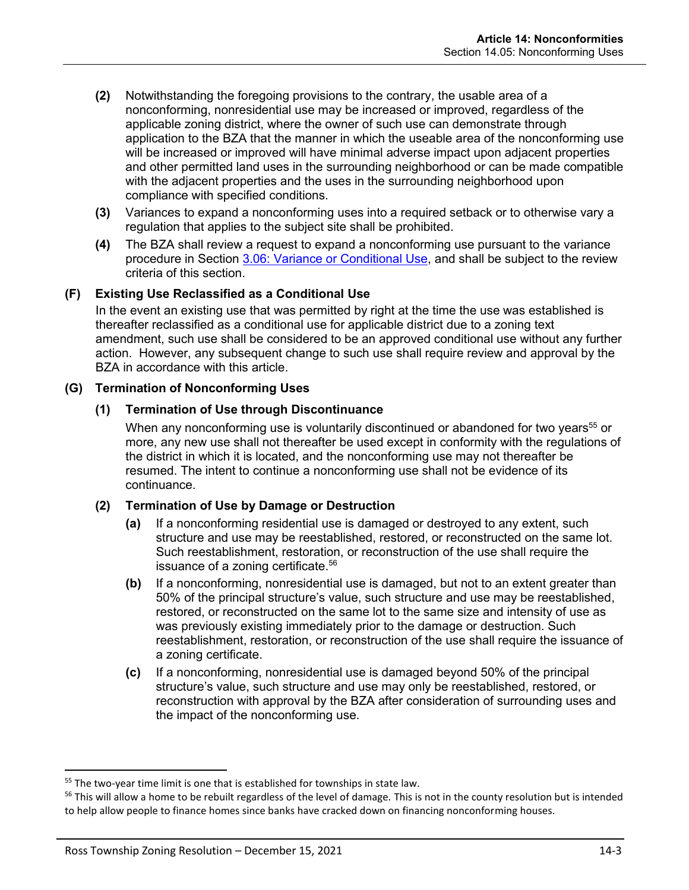- **(2)** Notwithstanding the foregoing provisions to the contrary, the usable area of a nonconforming, nonresidential use may be increased or improved, regardless of the applicable zoning district, where the owner of such use can demonstrate through application to the BZA that the manner in which the useable area of the nonconforming use will be increased or improved will have minimal adverse impact upon adjacent properties and other permitted land uses in the surrounding neighborhood or can be made compatible with the adjacent properties and the uses in the surrounding neighborhood upon compliance with specified conditions.
- **(3)** Variances to expand a nonconforming uses into a required setback or to otherwise vary a regulation that applies to the subject site shall be prohibited.
- **(4)** The BZA shall review a request to expand a nonconforming use pursuant to the variance procedure in Section 3.06: Variance or Conditional Use, and shall be subject to the review criteria of this section.

# **(F) Existing Use Reclassified as a Conditional Use**

In the event an existing use that was permitted by right at the time the use was established is thereafter reclassified as a conditional use for applicable district due to a zoning text amendment, such use shall be considered to be an approved conditional use without any further action. However, any subsequent change to such use shall require review and approval by the BZA in accordance with this article.

# **(G) Termination of Nonconforming Uses**

## **(1) Termination of Use through Discontinuance**

When any nonconforming use is voluntarily discontinued or abandoned for two years<sup>55</sup> or more, any new use shall not thereafter be used except in conformity with the regulations of the district in which it is located, and the nonconforming use may not thereafter be resumed. The intent to continue a nonconforming use shall not be evidence of its continuance.

## **(2) Termination of Use by Damage or Destruction**

- **(a)** If a nonconforming residential use is damaged or destroyed to any extent, such structure and use may be reestablished, restored, or reconstructed on the same lot. Such reestablishment, restoration, or reconstruction of the use shall require the issuance of a zoning certificate. 56
- **(b)** If a nonconforming, nonresidential use is damaged, but not to an extent greater than 50% of the principal structure's value, such structure and use may be reestablished, restored, or reconstructed on the same lot to the same size and intensity of use as was previously existing immediately prior to the damage or destruction. Such reestablishment, restoration, or reconstruction of the use shall require the issuance of a zoning certificate.
- **(c)** If a nonconforming, nonresidential use is damaged beyond 50% of the principal structure's value, such structure and use may only be reestablished, restored, or reconstruction with approval by the BZA after consideration of surrounding uses and the impact of the nonconforming use.

<sup>&</sup>lt;sup>55</sup> The two-year time limit is one that is established for townships in state law.

<sup>&</sup>lt;sup>56</sup> This will allow a home to be rebuilt regardless of the level of damage. This is not in the county resolution but is intended to help allow people to finance homes since banks have cracked down on financing nonconforming houses.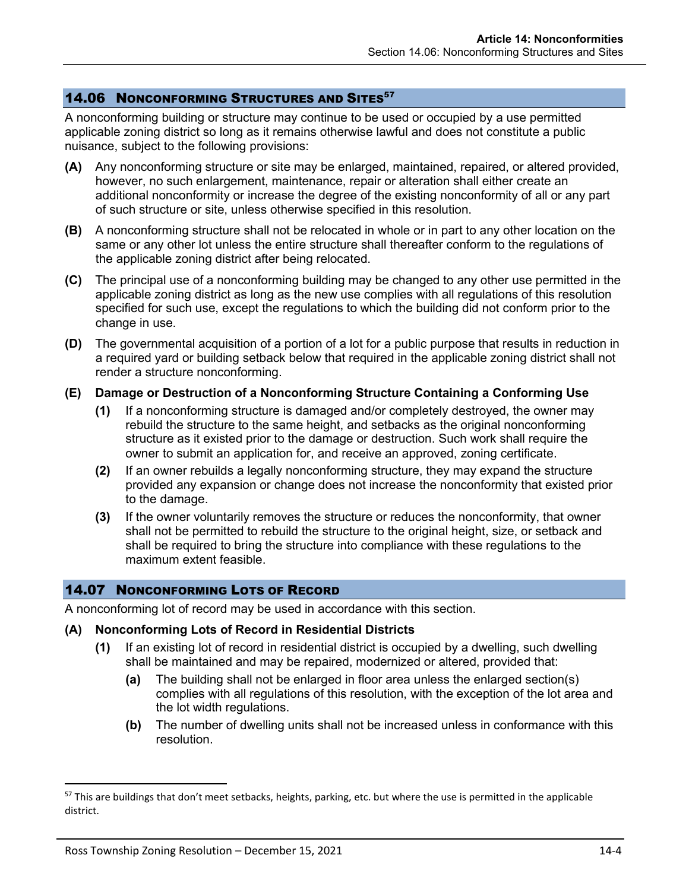# **14.06 NONCONFORMING STRUCTURES AND SITES**<sup>57</sup>

A nonconforming building or structure may continue to be used or occupied by a use permitted applicable zoning district so long as it remains otherwise lawful and does not constitute a public nuisance, subject to the following provisions:

- **(A)** Any nonconforming structure or site may be enlarged, maintained, repaired, or altered provided, however, no such enlargement, maintenance, repair or alteration shall either create an additional nonconformity or increase the degree of the existing nonconformity of all or any part of such structure or site, unless otherwise specified in this resolution.
- **(B)** A nonconforming structure shall not be relocated in whole or in part to any other location on the same or any other lot unless the entire structure shall thereafter conform to the regulations of the applicable zoning district after being relocated.
- **(C)** The principal use of a nonconforming building may be changed to any other use permitted in the applicable zoning district as long as the new use complies with all regulations of this resolution specified for such use, except the regulations to which the building did not conform prior to the change in use.
- **(D)** The governmental acquisition of a portion of a lot for a public purpose that results in reduction in a required yard or building setback below that required in the applicable zoning district shall not render a structure nonconforming.

#### **(E) Damage or Destruction of a Nonconforming Structure Containing a Conforming Use**

- **(1)** If a nonconforming structure is damaged and/or completely destroyed, the owner may rebuild the structure to the same height, and setbacks as the original nonconforming structure as it existed prior to the damage or destruction. Such work shall require the owner to submit an application for, and receive an approved, zoning certificate.
- **(2)** If an owner rebuilds a legally nonconforming structure, they may expand the structure provided any expansion or change does not increase the nonconformity that existed prior to the damage.
- **(3)** If the owner voluntarily removes the structure or reduces the nonconformity, that owner shall not be permitted to rebuild the structure to the original height, size, or setback and shall be required to bring the structure into compliance with these regulations to the maximum extent feasible.

## 14.07 NONCONFORMING LOTS OF RECORD

A nonconforming lot of record may be used in accordance with this section.

## **(A) Nonconforming Lots of Record in Residential Districts**

- **(1)** If an existing lot of record in residential district is occupied by a dwelling, such dwelling shall be maintained and may be repaired, modernized or altered, provided that:
	- **(a)** The building shall not be enlarged in floor area unless the enlarged section(s) complies with all regulations of this resolution, with the exception of the lot area and the lot width regulations.
	- **(b)** The number of dwelling units shall not be increased unless in conformance with this resolution.

<sup>&</sup>lt;sup>57</sup> This are buildings that don't meet setbacks, heights, parking, etc. but where the use is permitted in the applicable district.